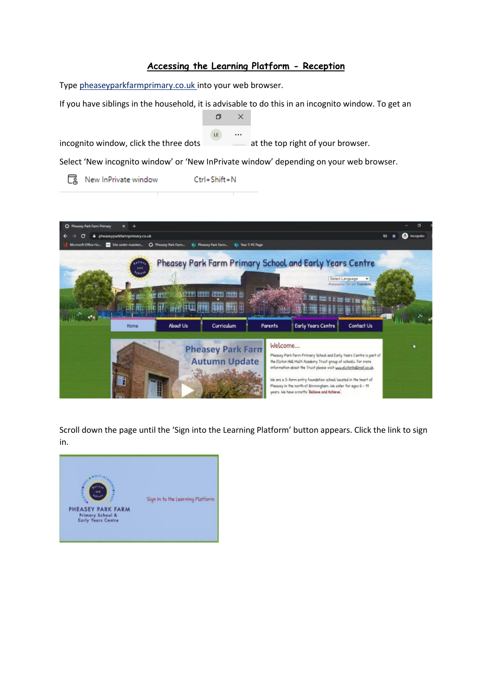# **Accessing the Learning Platform - Reception**

Type pheaseyparkfarmprimary.co.uk into your web browser.

If you have siblings in the household, it is advisable to do this in an incognito window. To get an



[ New InPrivate window Ctrl+Shift+N



Scroll down the page until the 'Sign into the Learning Platform' button appears. Click the link to sign in.

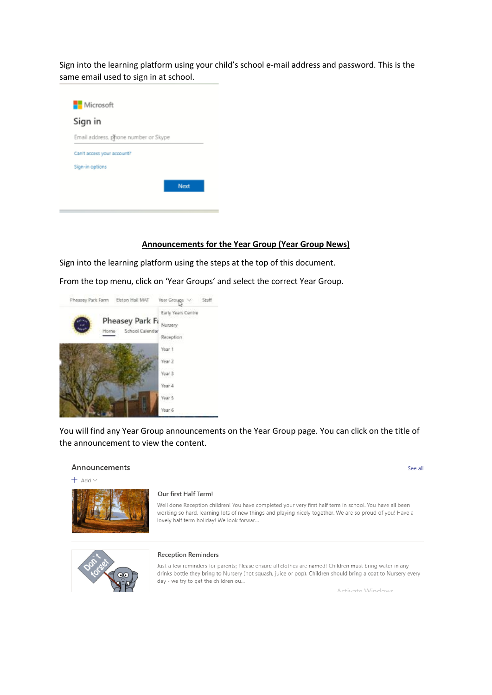Sign into the learning platform using your child's school e-mail address and password. This is the same email used to sign in at school.



### **Announcements for the Year Group (Year Group News)**

Sign into the learning platform using the steps at the top of this document.

From the top menu, click on 'Year Groups' and select the correct Year Group.



You will find any Year Group announcements on the Year Group page. You can click on the title of the announcement to view the content.

### Announcements

 $+$  Add  $\vee$ 



#### Our first Half Term!

Well done Reception children! You have completed your very first half term in school. You have all been working so hard, learning lots of new things and playing nicely together. We are so proud of you! Have a lovely half term holiday! We look forwar...



#### **Reception Reminders**

Just a few reminders for parents; Please ensure all clothes are named! Children must bring water in any drinks bottle they bring to Nursery (not squash, juice or pop). Children should bring a coat to Nursery every day - we try to get the children ou...

Activate Windows

See all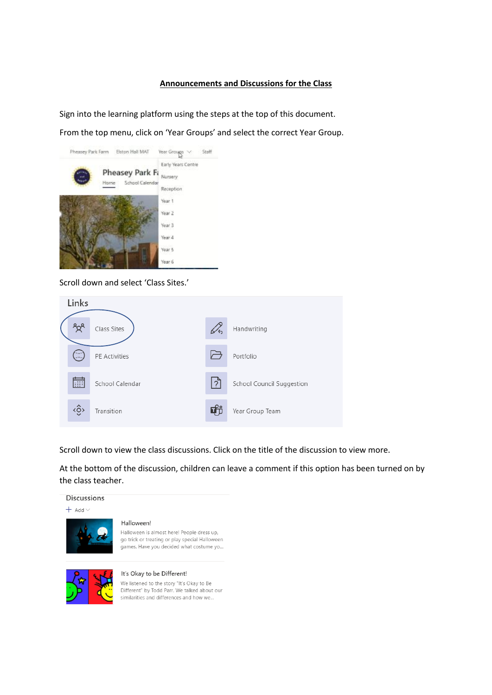## **Announcements and Discussions for the Class**

Sign into the learning platform using the steps at the top of this document.

From the top menu, click on 'Year Groups' and select the correct Year Group.



Scroll down and select 'Class Sites.'



Scroll down to view the class discussions. Click on the title of the discussion to view more.

At the bottom of the discussion, children can leave a comment if this option has been turned on by the class teacher.



**Discussions** 

#### Halloween!

Halloween is almost here! People dress up, go trick or treating or play special Halloween games. Have you decided what costume yo...



#### It's Okay to be Different!

We listened to the story "It's Okay to Be Different" by Todd Parr. We talked about our similarities and differences and how we...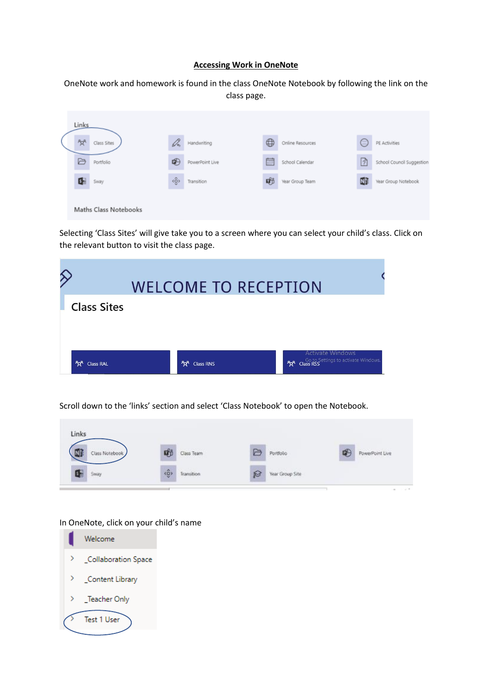### **Accessing Work in OneNote**

OneNote work and homework is found in the class OneNote Notebook by following the link on the class page.

| <b>Links</b><br>ಕ್ಗಿಳಿ | Class Sites           | Dn  | Handwriting     | $\oplus$ | Online Resources | ⊜ | PE Activities             |
|------------------------|-----------------------|-----|-----------------|----------|------------------|---|---------------------------|
| B                      | Portfolio             | ⊕   | PowerPoint Live | 扁        | School Calendar  | 团 | School Council Suggestion |
| 6                      | Sway                  | ۰ĝ› | Transition      | 啲        | Year Group Team  | 郦 | Year Group Notebook       |
|                        | Maths Class Notebooks |     |                 |          |                  |   |                           |

Selecting 'Class Sites' will give take you to a screen where you can select your child's class. Click on the relevant button to visit the class page.

|                                       | <b>WELCOME TO RECEPTION</b>                |                                |
|---------------------------------------|--------------------------------------------|--------------------------------|
| <b>Class Sites</b>                    |                                            |                                |
|                                       |                                            |                                |
|                                       |                                            | <b>Activate Windows</b>        |
| <sup>P</sup> R <sup>R</sup> Class RAL | <b><sup>ቶ</sup>χ<sup>R</sup></b> Class RNS | <b>Age</b> Class RSS Class RSS |

Scroll down to the 'links' section and select 'Class Notebook' to open the Notebook.



# In OneNote, click on your child's name

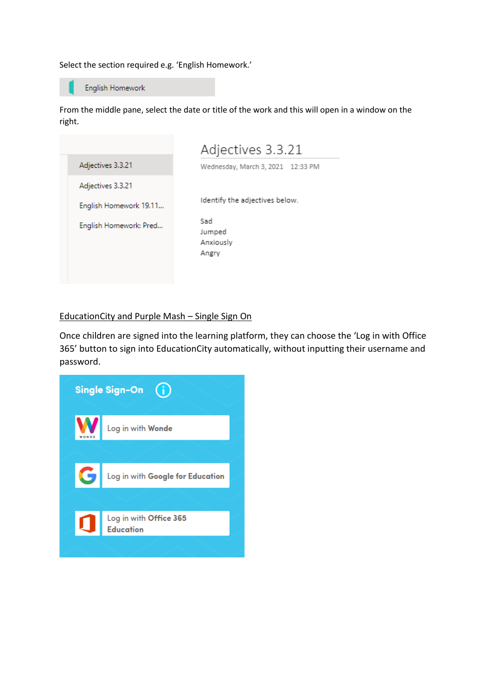Select the section required e.g. 'English Homework.'



English Homework

From the middle pane, select the date or title of the work and this will open in a window on the right.

|                        | Adjectives 3.3.21                   |
|------------------------|-------------------------------------|
| Adjectives 3.3.21      | Wednesday, March 3, 2021 12:33 PM   |
| Adjectives 3.3.21      |                                     |
| English Homework 19.11 | Identify the adjectives below.      |
| English Homework: Pred | Sad<br>Jumped<br>Anxiously<br>Angry |

# EducationCity and Purple Mash – Single Sign On

Once children are signed into the learning platform, they can choose the 'Log in with Office 365' button to sign into EducationCity automatically, without inputting their username and password.